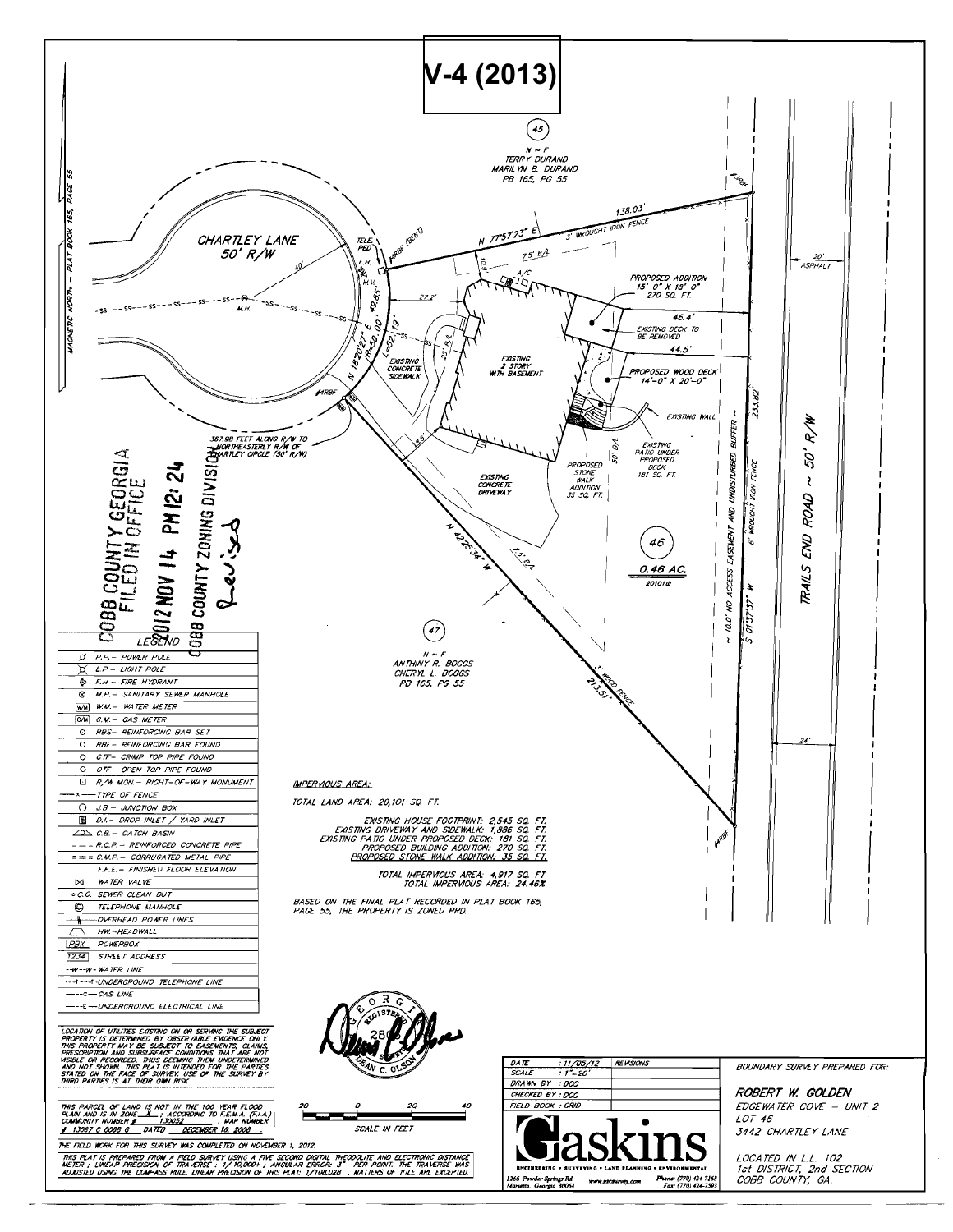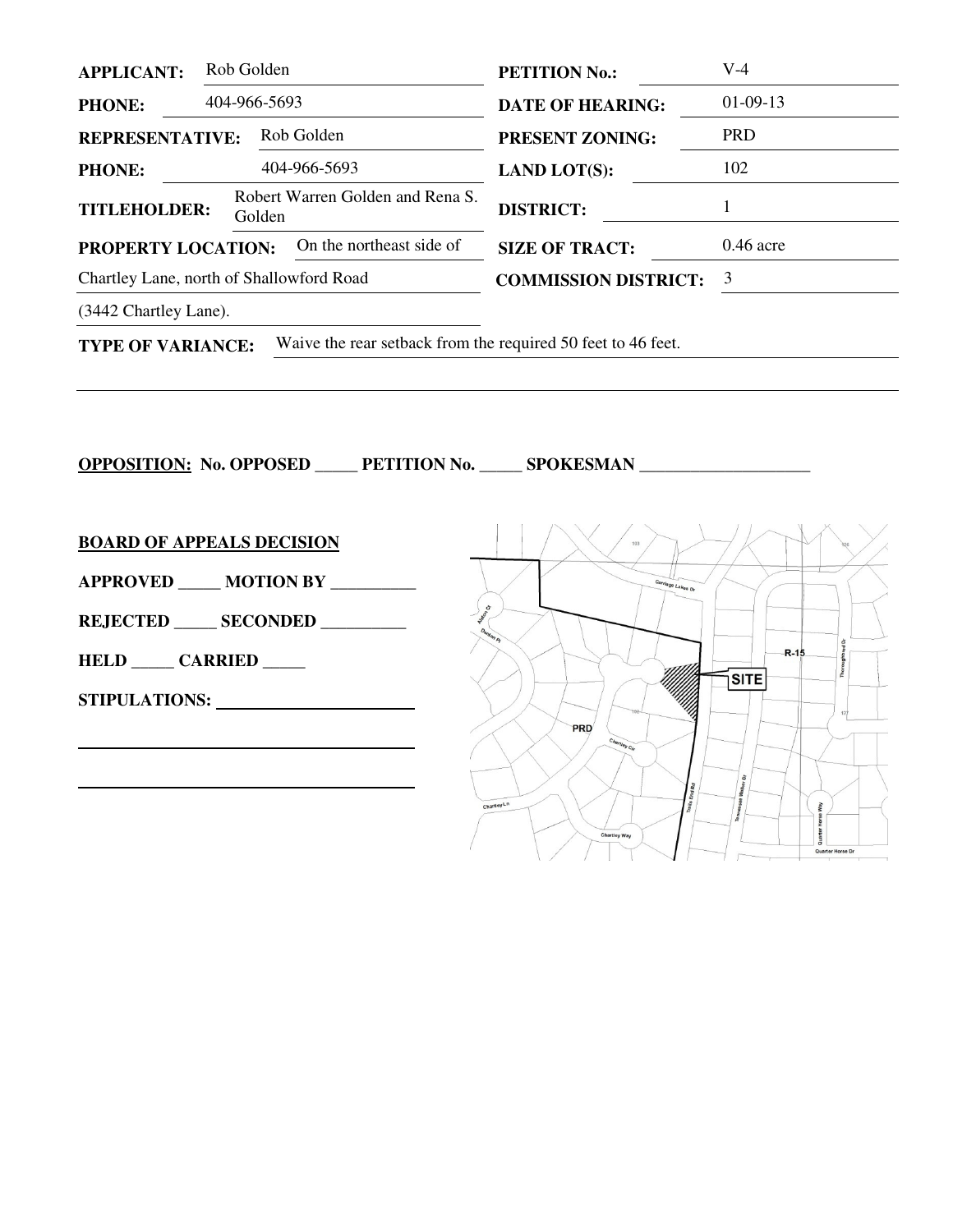| <b>APPLICANT:</b>                                                 | Rob Golden   | <b>PETITION No.:</b>        | $V-4$       |
|-------------------------------------------------------------------|--------------|-----------------------------|-------------|
| <b>PHONE:</b>                                                     | 404-966-5693 | <b>DATE OF HEARING:</b>     | $01-09-13$  |
| Rob Golden<br><b>REPRESENTATIVE:</b>                              |              | <b>PRESENT ZONING:</b>      | <b>PRD</b>  |
| <b>PHONE:</b>                                                     | 404-966-5693 | <b>LAND LOT(S):</b>         | 102         |
| Robert Warren Golden and Rena S.<br><b>TITLEHOLDER:</b><br>Golden |              | <b>DISTRICT:</b>            |             |
| On the northeast side of<br><b>PROPERTY LOCATION:</b>             |              | <b>SIZE OF TRACT:</b>       | $0.46$ acre |
| Chartley Lane, north of Shallowford Road                          |              | <b>COMMISSION DISTRICT:</b> | 3           |
| (3442 Chartley Lane).                                             |              |                             |             |
|                                                                   |              |                             |             |

**TYPE OF VARIANCE:** Waive the rear setback from the required 50 feet to 46 feet.

**OPPOSITION: No. OPPOSED \_\_\_\_\_ PETITION No. \_\_\_\_\_ SPOKESMAN \_\_\_\_\_\_\_\_\_\_\_\_\_\_\_\_\_\_\_\_ BOARD OF APPEALS DECISION APPROVED \_\_\_\_\_ MOTION BY \_\_\_\_\_\_\_\_\_\_**  Lakes<sub>Dr</sub> **REJECTED \_\_\_\_\_ SECONDED \_\_\_\_\_\_\_\_\_\_**   $R-15$ **HELD \_\_\_\_\_ CARRIED \_\_\_\_\_**   $\sqrt{\text{s} \cdot \text{min}}$ **STIPULATIONS:**  PRD  End Rd Walker Chartley Ln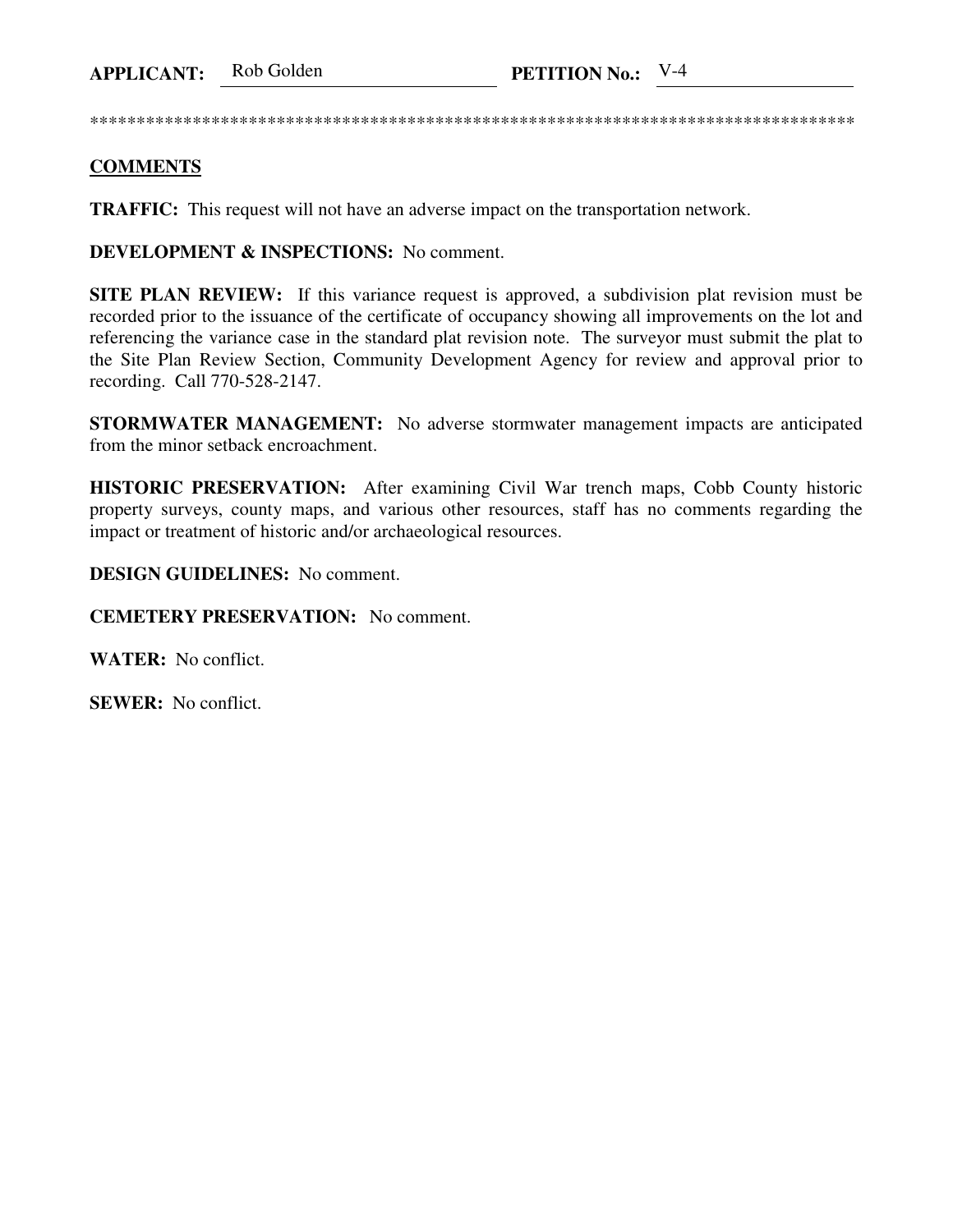**APPLICANT:** Rob Golden **PETITION No.:** V-4

\*\*\*\*\*\*\*\*\*\*\*\*\*\*\*\*\*\*\*\*\*\*\*\*\*\*\*\*\*\*\*\*\*\*\*\*\*\*\*\*\*\*\*\*\*\*\*\*\*\*\*\*\*\*\*\*\*\*\*\*\*\*\*\*\*\*\*\*\*\*\*\*\*\*\*\*\*\*\*\*\*\*

## **COMMENTS**

**TRAFFIC:** This request will not have an adverse impact on the transportation network.

**DEVELOPMENT & INSPECTIONS:** No comment.

**SITE PLAN REVIEW:** If this variance request is approved, a subdivision plat revision must be recorded prior to the issuance of the certificate of occupancy showing all improvements on the lot and referencing the variance case in the standard plat revision note. The surveyor must submit the plat to the Site Plan Review Section, Community Development Agency for review and approval prior to recording. Call 770-528-2147.

**STORMWATER MANAGEMENT:** No adverse stormwater management impacts are anticipated from the minor setback encroachment.

**HISTORIC PRESERVATION:** After examining Civil War trench maps, Cobb County historic property surveys, county maps, and various other resources, staff has no comments regarding the impact or treatment of historic and/or archaeological resources.

**DESIGN GUIDELINES:** No comment.

**CEMETERY PRESERVATION:** No comment.

**WATER:** No conflict.

**SEWER:** No conflict.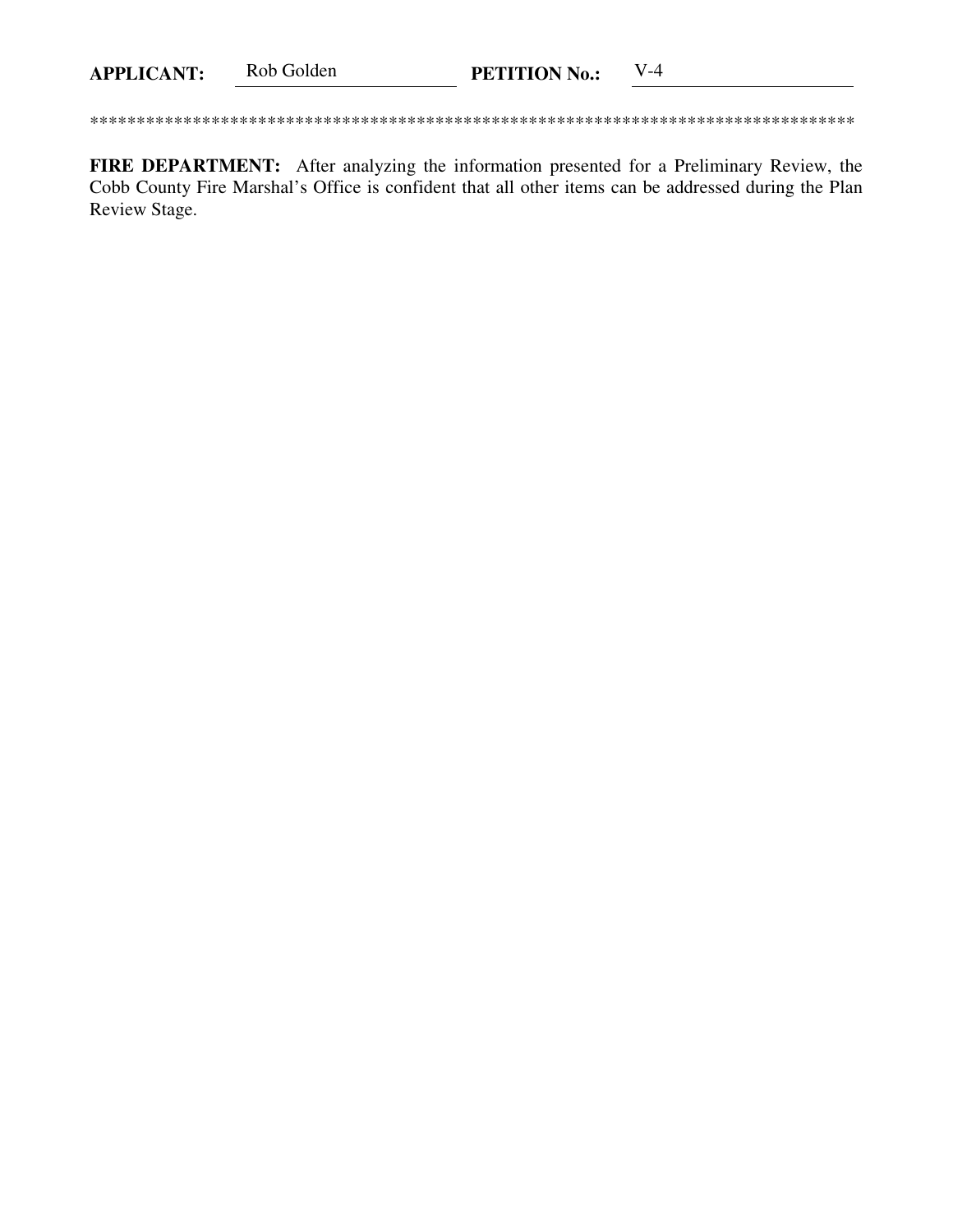Rob Golden  $V-4$ **APPLICANT: PETITION No.:** 

FIRE DEPARTMENT: After analyzing the information presented for a Preliminary Review, the Cobb County Fire Marshal's Office is confident that all other items can be addressed during the Plan Review Stage.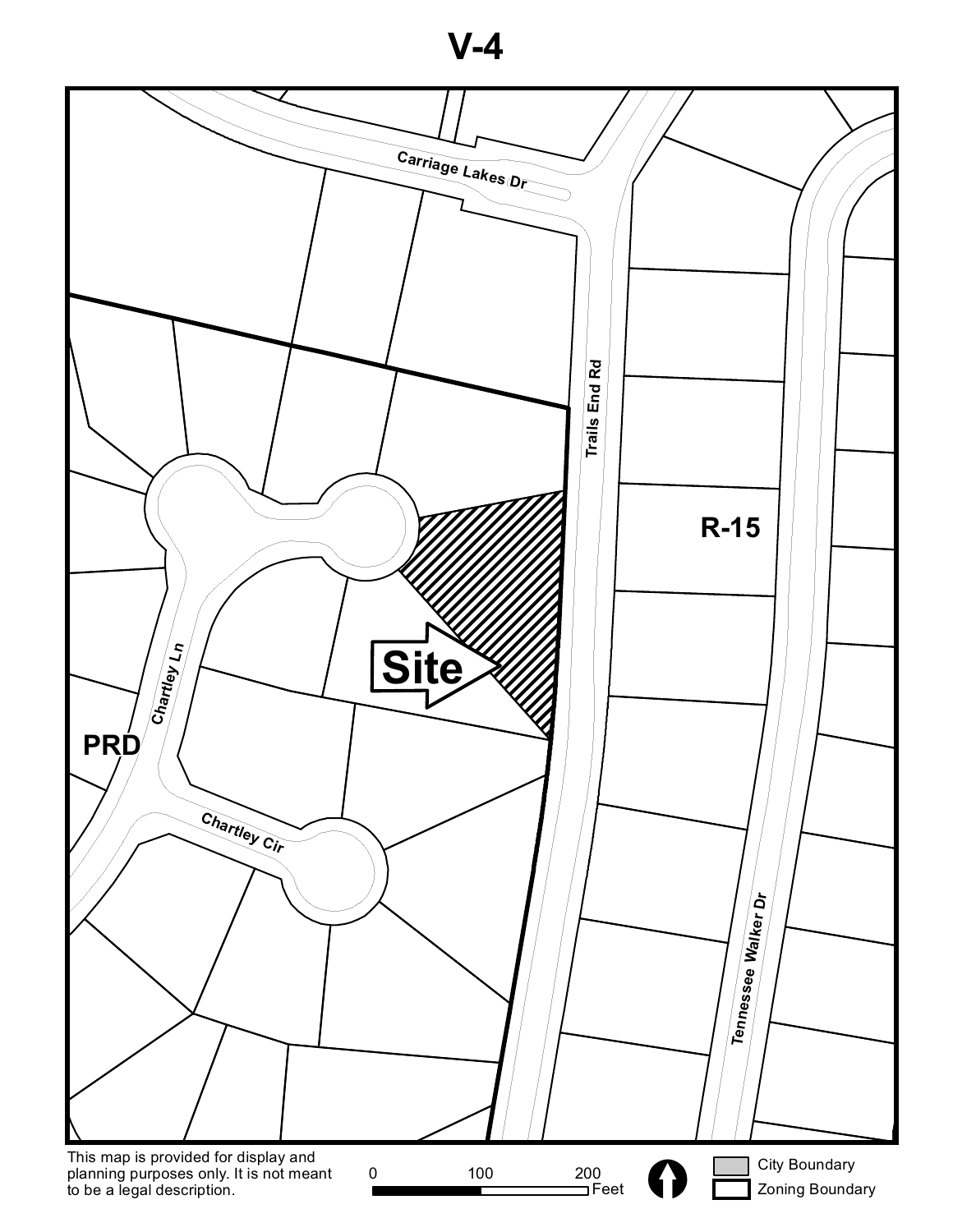**V-4**